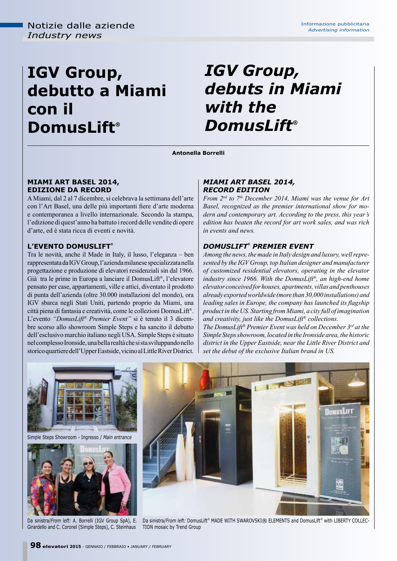# **IGV Group, debutto a Miami con il DomusLift®**

## *IGV Group, debuts in Miami with the DomusLift®*

**Antonella Borrelli**

#### **Miami Art Basel 2014, edizione da record**

A Miami, dal 2 al 7 dicembre, si celebrava la settimana dell'arte con l'Art Basel, una delle più importanti fiere d'arte moderna e contemporanea a livello internazionale. Secondo la stampa, l'edizione di quest'anno ha battuto i record delle vendite di opere d'arte, ed è stata ricca di eventi e novità.

## **L'EVENTO DomusLift®**

Tra le novità, anche il Made in Italy, il lusso, l'eleganza – ben rappresentata da IGV Group, l'azienda milanese specializzata nella progettazione e produzione di elevatori residenziali sin dal 1966. Già tra le prime in Europa a lanciare il DomusLift®, l'elevatore pensato per case, appartamenti, ville e attici, diventato il prodotto di punta dell'azienda (oltre 30.000 installazioni del mondo), ora IGV sbarca negli Stati Uniti, partendo proprio da Miami, una città piena di fantasia e creatività, come le collezioni DomusLift®. L'evento *"DomusLift® Premier Event"* si è tenuto il 3 dicembre scorso allo showroom Simple Steps e ha sancito il debutto dell'esclusivo marchio italiano negli USA. Simple Steps è situato nel complesso Ironside, una bella realtà che si sta sviluppando nello storico quartiere dell'Upper Eastside, vicino al Little River District.

### *Miami Art Basel 2014, record edition*

*From 2nd to 7th December 2014, Miami was the venue for Art Basel, recognized as the premier international show for modern and contemporary art. According to the press, this year's edition has beaten the record for art work sales, and was rich in events and news.*

## *DOMUSLIFT® PREMIER EV*

*Among the news, the made in Italy design and luxury, well represented by the IGV Group, top Italian designer and manufacturer of customized residential elevators, operating in the elevator industry since 1966. With the DomusLift®, an high-end home elevator conceived for houses, apartments, villas and penthouses already exported worldwide (more than 30,000 installations) and leading sales in Europe, the company has launched its flagship product in the US. Starting from Miami, a city full of imagination and creativity, just like the DomusLift® collections.*

*The DomusLift® Premier Event was held on December 3rd at the Simple Steps showroom, located in the Ironside area, the historic district in the Upper Eastside, near the Little River District and set the debut of the exclusive Italian brand in US.*



Girardello and C. Coronel (Simple Steps), C. Steinhaus

Da sinistra/From left: A. Borrelli (IGV Group SpA), E. Da sinistra/From left: DomusLift® MADE WITH SWAROVSKI® ELEMENTS and DomusLift® with LIBERTY COLLEC-TION mosaic by Trend Group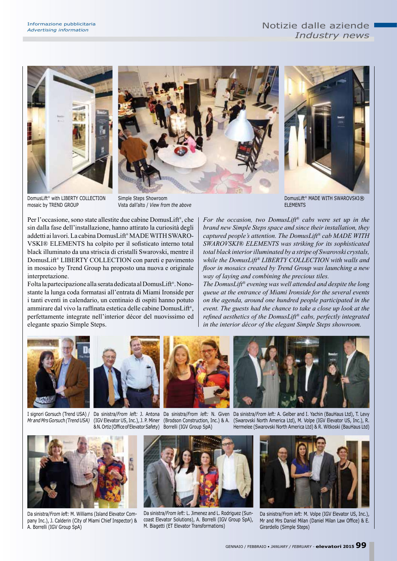





DomusLift® with LIBERTY COLLECTION mosaic by TREND GROUP

Simple Steps Showroom Vista dall'alto / *View from the above*

Per l'occasione, sono state allestite due cabine DomusLift® , che sin dalla fase dell'installazione, hanno attirato la curiosità degli addetti ai lavori. La cabina DomusLift® MADE WITH SWARO-VSKI® ELEMENTS ha colpito per il sofisticato interno total black illuminato da una striscia di cristalli Swarovski, mentre il DomusLift® LIBERTY COLLECTION con pareti e pavimento in mosaico by Trend Group ha proposto una nuova e originale interpretazione.

Folta la partecipazione alla serata dedicata al DomusLift® . Nonostante la lunga coda formatasi all'entrata di Miami Ironside per i tanti eventi in calendario, un centinaio di ospiti hanno potuto ammirare dal vivo la raffinata estetica delle cabine DomusLift® , perfettamente integrate nell'interior décor del nuovissimo ed elegante spazio Simple Steps.

DomusLift® MADE WITH SWAROVSKI® **ELEMENTS** 

*For the occasion, two DomusLift® cabs were set up in the brand new Simple Steps space and since their installation, they captured people's attention. The DomusLift® cab MADE WITH SWAROVSKI® ELEMENTS was striking for its sophisticated total black interior illuminated by a stripe of Swarovski crystals, while the DomusLift® LIBERTY COLLECTION with walls and floor in mosaics created by Trend Group was launching a new way of laying and combining the precious tiles.*

*The DomusLift® evening was well attended and despite the long queue at the entrance of Miami Ironside for the several events on the agenda, around one hundred people participated in the event. The guests had the chance to take a close up look at the refined aesthetics of the DomusLift® cabs, perfectly integrated in the interior décor of the elegant Simple Steps showroom.*



*Mr and Mrs Gorsuch (Trend USA)*

I signori Gorsuch (Trend USA) / Da sinistra/*From left:* J. Antona Da sinistra/*From left:* N. Given Da sinistra/*From left:* A. Gelber and I. Yachin (BauHaus Ltd), T. Levy (IGV Elevator US, Inc.), J. P. Miner (Brodson Construction, Inc.) & A.

& N. Ortiz (Office of Elevator Safety) Borrelli (IGV Group SpA)



Da sinistra/*From left:* M. Williams (Island Elevator Company Inc.), J. Calderin (City of Miami Chief Inspector) & A. Borrelli (IGV Group SpA)



Da sinistra/*From left:* L. Jimenez and L. Rodriguez (Suncoast Elevator Solutions), A. Borrelli (IGV Group SpA), M. Biagetti (ET Elevator Transformations)

(Swarovski North America Ltd), M. Volpe (IGV Elevator US, Inc.), R. Hermelee (Swarovski North America Ltd) & R. Witkoski (BauHaus Ltd)



Da sinistra/*From left:* M. Volpe (IGV Elevator US, Inc.), Mr and Mrs Daniel Milan (Daniel Milan Law Office) & E. Girardello (Simple Steps)